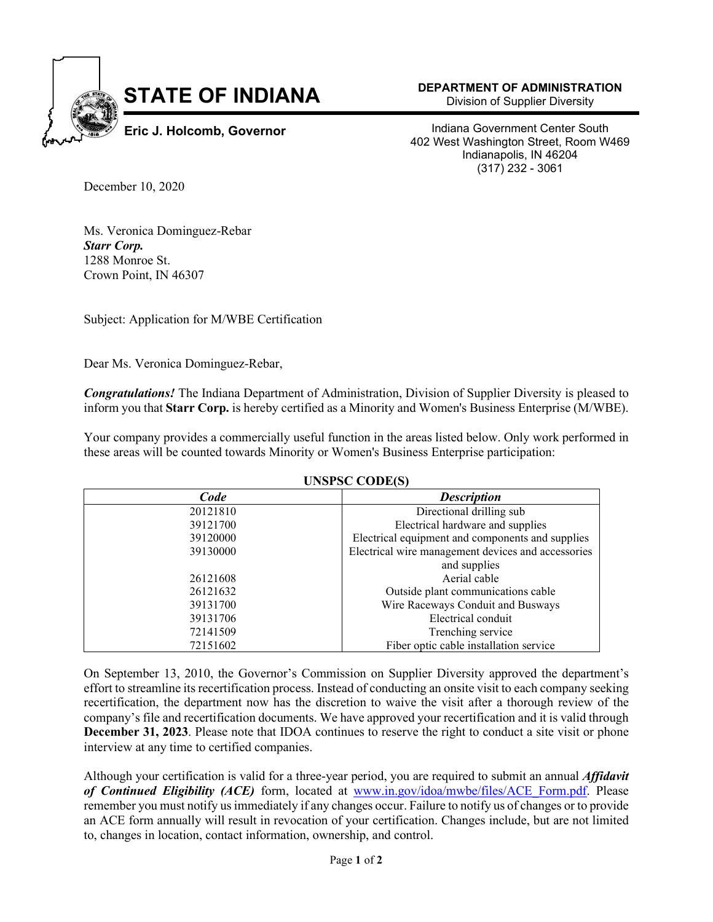

**DEPARTMENT OF ADMINISTRATION**

Division of Supplier Diversity

Indiana Government Center South 402 West Washington Street, Room W469 Indianapolis, IN 46204 (317) 232 - 3061

December 10, 2020

Ms. Veronica Dominguez-Rebar *Starr Corp.*  1288 Monroe St. Crown Point, IN 46307

Subject: Application for M/WBE Certification

Dear Ms. Veronica Dominguez-Rebar,

*Congratulations!* The Indiana Department of Administration, Division of Supplier Diversity is pleased to inform you that **Starr Corp.** is hereby certified as a Minority and Women's Business Enterprise (M/WBE).

Your company provides a commercially useful function in the areas listed below. Only work performed in these areas will be counted towards Minority or Women's Business Enterprise participation:

| Code     | <b>Description</b>                                 |
|----------|----------------------------------------------------|
| 20121810 | Directional drilling sub                           |
| 39121700 | Electrical hardware and supplies                   |
| 39120000 | Electrical equipment and components and supplies   |
| 39130000 | Electrical wire management devices and accessories |
|          | and supplies                                       |
| 26121608 | Aerial cable                                       |
| 26121632 | Outside plant communications cable                 |
| 39131700 | Wire Raceways Conduit and Busways                  |
| 39131706 | Electrical conduit                                 |
| 72141509 | Trenching service                                  |
| 72151602 | Fiber optic cable installation service             |

## **UNSPSC CODE(S)**

On September 13, 2010, the Governor's Commission on Supplier Diversity approved the department's effort to streamline its recertification process. Instead of conducting an onsite visit to each company seeking recertification, the department now has the discretion to waive the visit after a thorough review of the company's file and recertification documents. We have approved your recertification and it is valid through **December 31, 2023**. Please note that IDOA continues to reserve the right to conduct a site visit or phone interview at any time to certified companies.

Although your certification is valid for a three-year period, you are required to submit an annual *Affidavit of Continued Eligibility (ACE)* form, located at www.in.gov/idoa/mwbe/files/ACE\_Form.pdf. Please remember you must notify us immediately if any changes occur. Failure to notify us of changes or to provide an ACE form annually will result in revocation of your certification. Changes include, but are not limited to, changes in location, contact information, ownership, and control.